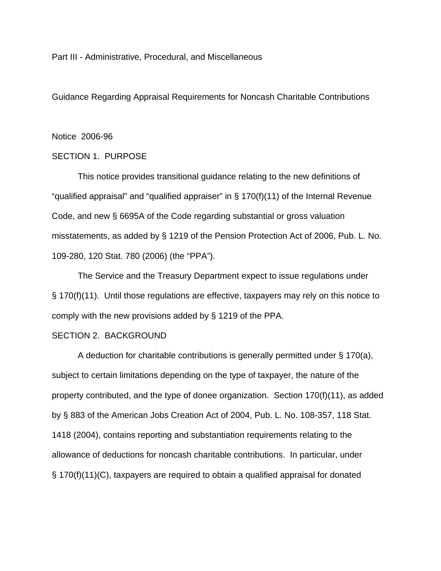Part III - Administrative, Procedural, and Miscellaneous

Guidance Regarding Appraisal Requirements for Noncash Charitable Contributions

#### Notice 2006-96

# SECTION 1. PURPOSE

This notice provides transitional guidance relating to the new definitions of "qualified appraisal" and "qualified appraiser" in § 170(f)(11) of the Internal Revenue Code, and new § 6695A of the Code regarding substantial or gross valuation misstatements, as added by § 1219 of the Pension Protection Act of 2006, Pub. L. No. 109-280, 120 Stat. 780 (2006) (the "PPA").

The Service and the Treasury Department expect to issue regulations under § 170(f)(11). Until those regulations are effective, taxpayers may rely on this notice to comply with the new provisions added by § 1219 of the PPA.

# SECTION 2. BACKGROUND

A deduction for charitable contributions is generally permitted under § 170(a), subject to certain limitations depending on the type of taxpayer, the nature of the property contributed, and the type of donee organization. Section 170(f)(11), as added by § 883 of the American Jobs Creation Act of 2004, Pub. L. No. 108-357, 118 Stat. 1418 (2004), contains reporting and substantiation requirements relating to the allowance of deductions for noncash charitable contributions. In particular, under § 170(f)(11)(C), taxpayers are required to obtain a qualified appraisal for donated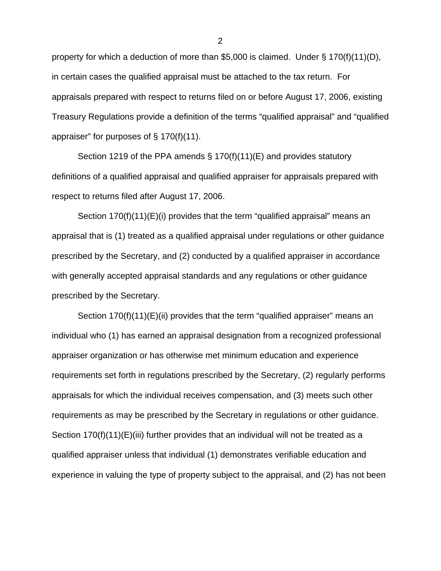property for which a deduction of more than \$5,000 is claimed. Under § 170(f)(11)(D), in certain cases the qualified appraisal must be attached to the tax return. For appraisals prepared with respect to returns filed on or before August 17, 2006, existing Treasury Regulations provide a definition of the terms "qualified appraisal" and "qualified appraiser" for purposes of § 170(f)(11).

Section 1219 of the PPA amends § 170(f)(11)(E) and provides statutory definitions of a qualified appraisal and qualified appraiser for appraisals prepared with respect to returns filed after August 17, 2006.

Section 170(f)(11)(E)(i) provides that the term "qualified appraisal" means an appraisal that is (1) treated as a qualified appraisal under regulations or other guidance prescribed by the Secretary, and (2) conducted by a qualified appraiser in accordance with generally accepted appraisal standards and any regulations or other guidance prescribed by the Secretary.

Section 170(f)(11)(E)(ii) provides that the term "qualified appraiser" means an individual who (1) has earned an appraisal designation from a recognized professional appraiser organization or has otherwise met minimum education and experience requirements set forth in regulations prescribed by the Secretary, (2) regularly performs appraisals for which the individual receives compensation, and (3) meets such other requirements as may be prescribed by the Secretary in regulations or other guidance. Section  $170(f)(11)(E)(iii)$  further provides that an individual will not be treated as a qualified appraiser unless that individual (1) demonstrates verifiable education and experience in valuing the type of property subject to the appraisal, and (2) has not been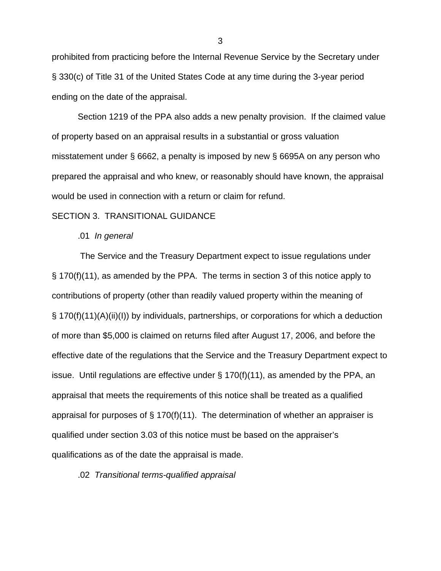prohibited from practicing before the Internal Revenue Service by the Secretary under § 330(c) of Title 31 of the United States Code at any time during the 3-year period ending on the date of the appraisal.

Section 1219 of the PPA also adds a new penalty provision. If the claimed value of property based on an appraisal results in a substantial or gross valuation misstatement under § 6662, a penalty is imposed by new § 6695A on any person who prepared the appraisal and who knew, or reasonably should have known, the appraisal would be used in connection with a return or claim for refund.

#### SECTION 3. TRANSITIONAL GUIDANCE

#### .01 *In general*

 The Service and the Treasury Department expect to issue regulations under § 170(f)(11), as amended by the PPA. The terms in section 3 of this notice apply to contributions of property (other than readily valued property within the meaning of § 170(f)(11)(A)(ii)(I)) by individuals, partnerships, or corporations for which a deduction of more than \$5,000 is claimed on returns filed after August 17, 2006, and before the effective date of the regulations that the Service and the Treasury Department expect to issue. Until regulations are effective under § 170(f)(11), as amended by the PPA, an appraisal that meets the requirements of this notice shall be treated as a qualified appraisal for purposes of  $\S$  170(f)(11). The determination of whether an appraiser is qualified under section 3.03 of this notice must be based on the appraiser's qualifications as of the date the appraisal is made.

## .02 *Transitional terms-qualified appraisal*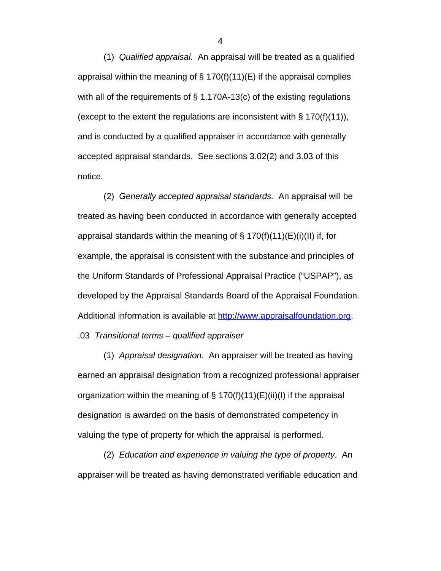(1) *Qualified appraisal.* An appraisal will be treated as a qualified appraisal within the meaning of § 170(f)(11)(E) if the appraisal complies with all of the requirements of  $\S$  1.170A-13(c) of the existing regulations (except to the extent the regulations are inconsistent with  $\S 170(f)(11)$ ), and is conducted by a qualified appraiser in accordance with generally accepted appraisal standards. See sections 3.02(2) and 3.03 of this notice.

(2) *Generally accepted appraisal standards.* An appraisal will be treated as having been conducted in accordance with generally accepted appraisal standards within the meaning of  $\S$  170(f)(11)(E)(i)(II) if, for example, the appraisal is consistent with the substance and principles of the Uniform Standards of Professional Appraisal Practice ("USPAP"), as developed by the Appraisal Standards Board of the Appraisal Foundation. Additional information is available at http://www.appraisalfoundation.org. .03 *Transitional terms – qualified appraiser* 

(1) *Appraisal designation.* An appraiser will be treated as having earned an appraisal designation from a recognized professional appraiser organization within the meaning of  $\S$  170(f)(11)(E)(ii)(I) if the appraisal designation is awarded on the basis of demonstrated competency in valuing the type of property for which the appraisal is performed.

(2) *Education and experience in valuing the type of property*. An appraiser will be treated as having demonstrated verifiable education and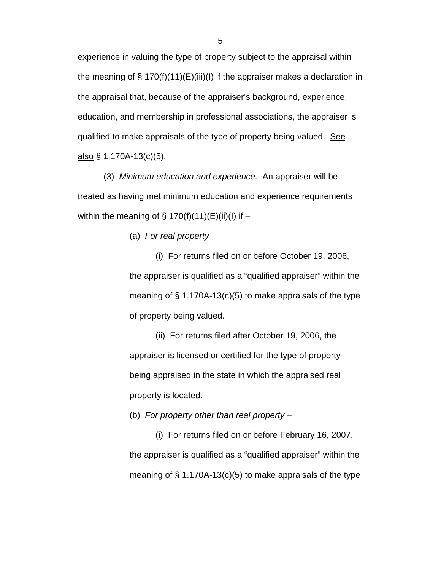experience in valuing the type of property subject to the appraisal within the meaning of § 170(f)(11)(E)(iii)(I) if the appraiser makes a declaration in the appraisal that, because of the appraiser's background, experience, education, and membership in professional associations, the appraiser is qualified to make appraisals of the type of property being valued. See also  $\S$  1.170A-13(c)(5).

(3) *Minimum education and experience.* An appraiser will be treated as having met minimum education and experience requirements within the meaning of  $\S$  170(f)(11)(E)(ii)(l) if –

(a) *For real property* 

(i) For returns filed on or before October 19, 2006, the appraiser is qualified as a "qualified appraiser" within the meaning of  $\S$  1.170A-13(c)(5) to make appraisals of the type of property being valued.

(ii) For returns filed after October 19, 2006, the appraiser is licensed or certified for the type of property being appraised in the state in which the appraised real property is located.

(b) *For property other than real property* –

(i) For returns filed on or before February 16, 2007, the appraiser is qualified as a "qualified appraiser" within the meaning of  $\S 1.170A-13(c)(5)$  to make appraisals of the type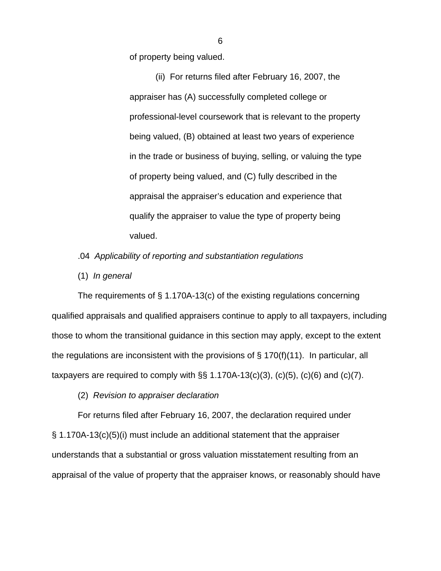of property being valued.

(ii) For returns filed after February 16, 2007, the appraiser has (A) successfully completed college or professional-level coursework that is relevant to the property being valued, (B) obtained at least two years of experience in the trade or business of buying, selling, or valuing the type of property being valued, and (C) fully described in the appraisal the appraiser's education and experience that qualify the appraiser to value the type of property being valued.

# .04 *Applicability of reporting and substantiation regulations*

(1) *In general* 

 The requirements of § 1.170A-13(c) of the existing regulations concerning qualified appraisals and qualified appraisers continue to apply to all taxpayers, including those to whom the transitional guidance in this section may apply, except to the extent the regulations are inconsistent with the provisions of  $\S$  170(f)(11). In particular, all taxpayers are required to comply with  $\S$ § 1.170A-13(c)(3), (c)(5), (c)(6) and (c)(7).

(2) *Revision to appraiser declaration*

 For returns filed after February 16, 2007, the declaration required under § 1.170A-13(c)(5)(i) must include an additional statement that the appraiser understands that a substantial or gross valuation misstatement resulting from an appraisal of the value of property that the appraiser knows, or reasonably should have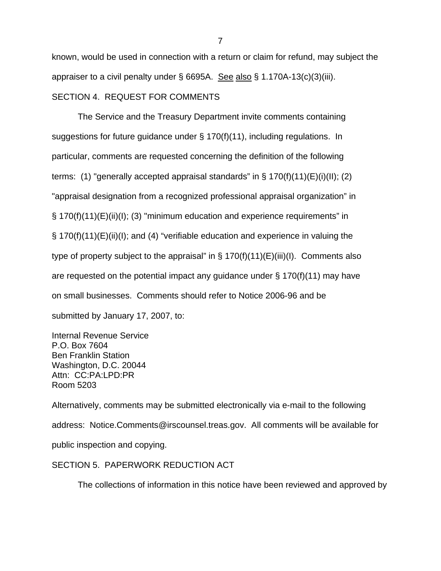known, would be used in connection with a return or claim for refund, may subject the appraiser to a civil penalty under  $\S$  6695A. See also  $\S$  1.170A-13(c)(3)(iii). SECTION 4. REQUEST FOR COMMENTS

The Service and the Treasury Department invite comments containing suggestions for future guidance under § 170(f)(11), including regulations. In particular, comments are requested concerning the definition of the following terms: (1) "generally accepted appraisal standards" in  $\S$  170(f)(11)(E)(i)(II); (2) "appraisal designation from a recognized professional appraisal organization" in § 170(f)(11)(E)(ii)(I); (3) "minimum education and experience requirements" in § 170(f)(11)(E)(ii)(I); and (4) "verifiable education and experience in valuing the type of property subject to the appraisal" in  $\S 170(f)(11)(E)(iii)(I)$ . Comments also are requested on the potential impact any guidance under  $\S$  170(f)(11) may have on small businesses. Comments should refer to Notice 2006-96 and be submitted by January 17, 2007, to:

Internal Revenue Service P.O. Box 7604 Ben Franklin Station Washington, D.C. 20044 Attn: CC:PA:LPD:PR Room 5203

Alternatively, comments may be submitted electronically via e-mail to the following address: Notice.Comments@irscounsel.treas.gov. All comments will be available for public inspection and copying.

# SECTION 5. PAPERWORK REDUCTION ACT

The collections of information in this notice have been reviewed and approved by